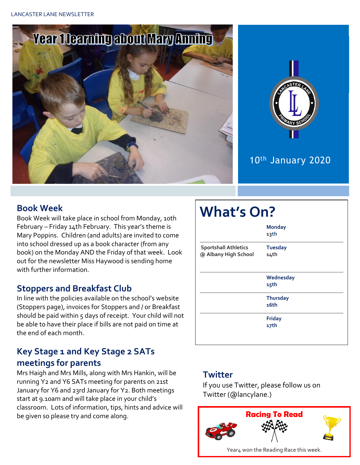



# 10th January 2020

#### **Book Week**

Book Week will take place in school from Monday, 10th February – Friday 14th February. This year's theme is Mary Poppins. Children (and adults) are invited to come into school dressed up as a book character (from any book) on the Monday AND the Friday of that week. Look out for the newsletter Miss Haywood is sending home with further information.

### **Stoppers and Breakfast Club**

In line with the policies available on the school's website (Stoppers page), invoices for Stoppers and / or Breakfast should be paid within  $5$  days of receipt. Your child will not be able to have their place if bills are not paid on time at the end of each month.

# **Key Stage 1 and Key Stage 2 SATs meetings for parents**

Mrs Haigh and Mrs Mills, along with Mrs Hankin, will be running Y2 and Y6 SATs meeting for parents on 21st January for Y6 and 23rd January for Y2. Both meetings start at 9.10am and will take place in your child's classroom. Lots of information, tips, hints and advice will be given so please try and come along.

# **What's On? Monday 13th Sportshall Athletics Tuesday @ Albany High School 14th Wednesday 15th Thursday 16th Friday 17th**

### **Twitter**

If you use Twitter, please follow us on Twitter (@lancylane.)

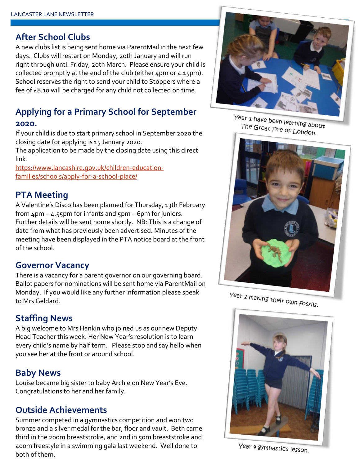#### **After School Clubs**

A new clubs list is being sent home via ParentMail in the next few days. Clubs will restart on Monday, 20th January and will run right through until Friday, 20th March. Please ensure your child is collected promptly at the end of the club (either 4pm or 4.15pm). School reserves the right to send your child to Stoppers where a fee of £8.10 will be charged for any child not collected on time.

# **Applying for a Primary School for September**

#### **2020.**

If your child is due to start primary school in September 2020 the closing date for applying is 15 January 2020.

The application to be made by the closing date using this direct link.

[https://www.lancashire.gov.uk/children-education](https://www.lancashire.gov.uk/children-education-families/schools/apply-for-a-school-place/)[families/schools/apply-for-a-school-place/](https://www.lancashire.gov.uk/children-education-families/schools/apply-for-a-school-place/)

#### **PTA Meeting**

A Valentine's Disco has been planned for Thursday, 13th February from  $4$ pm –  $4.55$ pm for infants and  $5$ pm – 6pm for juniors. Further details will be sent home shortly. NB: This is a change of date from what has previously been advertised. Minutes of the meeting have been displayed in the PTA notice board at the front of the school.

#### **Governor Vacancy**

There is a vacancy for a parent governor on our governing board. Ballot papers for nominations will be sent home via ParentMail on Monday. If you would like any further information please speak to Mrs Geldard.

### **Staffing News**

A big welcome to Mrs Hankin who joined us as our new Deputy Head Teacher this week. Her New Year's resolution is to learn every child's name by half term. Please stop and say hello when you see her at the front or around school.

#### **Baby News**

Louise became big sister to baby Archie on New Year's Eve. Congratulations to her and her family.

### **Outside Achievements**

Summer competed in a gymnastics competition and won two bronze and a silver medal for the bar, floor and vault. Beth came third in the 200m breaststroke, and 2nd in 50m breaststroke and 400m freestyle in a swimming gala last weekend. Well done to both of them.



Year 1 have been learning about The Great Fire of London.



Year 2 making their own fossils.



Year 4 gymnastics lesson.